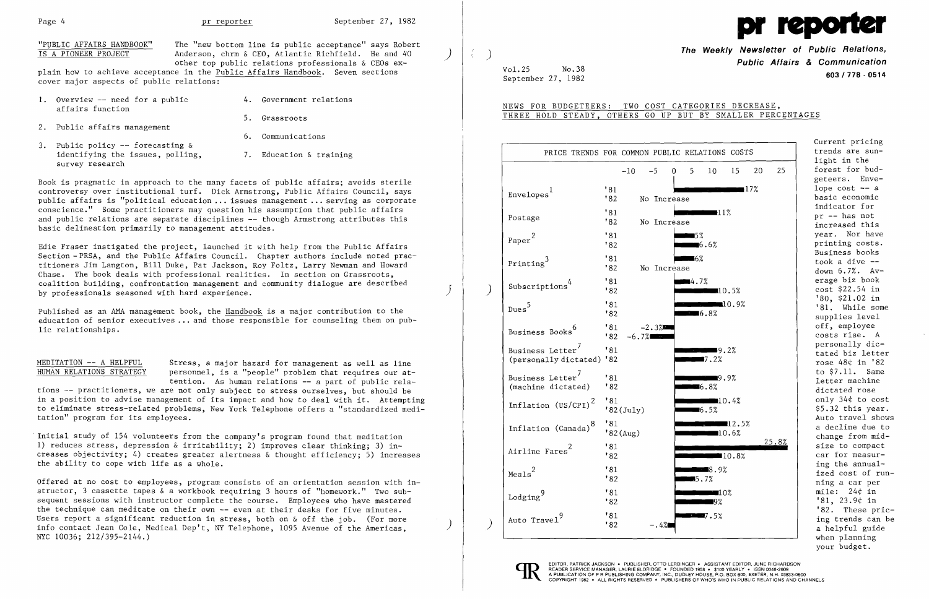

"PUBLIC AFFAIRS HANDBOOK" The "new bottom line is public acceptance" says Robert<br>IS A PIONEER PROJECT Anderson, chrm & CEO, Atlantic Richfield. He and 40 Anderson, chrm & CEO, Atlantic Richfield. He and 40 other top public relations professionals & CEOs explain how to achieve acceptance in the Public Affairs Handbook. Seven sections

cover major aspects of public relations:

|        | 1. Overview -- need for a public<br>affairs function | 4. Government relations |
|--------|------------------------------------------------------|-------------------------|
| $\sim$ |                                                      | 5. Grassroots           |

6. Communications

- 2. Public affairs management
- 3. Public policy  $-$  forecasting  $\&$ identifying the issues, polling, 7. Education & training survey research
	-

Published as an AMA management book, the Handbook is a major contribution to the education of senior executives ... and those responsible for counseling them on public relationships.

Book is pragmatic in approach to the many facets of public affairs; avoids sterile controversy over institutional turf. Dick Armstrong, Public Affairs Council, says public affairs is "political education ... issues management ... serving as corporate conscience." Some practitioners may question his assumption that public affairs and public relations are separate disciplines -- though Armstrong attributes this basic delineation primarily to management attitudes.

MEDITATION -- A HELPFUL Stress, a major hazard for management as well as line<br>HUMAN RELATIONS STRATEGY personnel, is a "people" problem that requires our atpersonnel, is a "people" problem that requires our attention. As human relations -- a part of public rela-

Edie Fraser instigated the project, launched it with help from the Public Affairs Section -PRSA, and the Public Affairs Council. Chapter authors include noted practitioners Jim Langton, Bill Duke, Pat Jackson, Roy Foltz, Larry Newman and Howard Chase. The book deals with professional realities. In section on Grassroots, coalition building, confrontation management and community dialogue are described by professionals seasoned with hard experience.

tions -- practitioners, we are not only subject to stress ourselves, but should be in a position to advise management of its impact and how to deal with it. Attempting to eliminate stress-related problems, New York Telephone offers a "standardized meditation" program for its employees.

Initial study of 154 volunteers from the company's program found that meditation 1) reduces stress, depression & irritability; 2) improves clear thinking; 3) increases objectivity; 4) creates greater alertness & thought efficiency; 5) increases the ability to cope with life as a whole.

Offered at no cost to employees, program consists of an orientation session with instructor, 3 cassette tapes & a workbook requiring 3 hours of "homework." Two subsequent sessions with instructor complete the course. Employees who have mastered the technique can meditate on their own -- even at their desks for five minutes. Users report a significant reduction in stress, both on & off the job. (For more info contact Jean Cole, Medical Dep't, NY Telephone, 1095 Avenue of the Americas, NYC 10036; 212/395-2144.)

) ) **The Weekly Newsletter of Public Relations, Public Affairs & Communication**  September 27, 1982 **603/778 - <sup>0514</sup>**

Vol.25 No.38

NEWS FOR BUDGETEERS: TWO COST CATEGORIES DECREASE, THREE HOLD STEADY, OTHERS GO UP BUT BY SMALLER PERCENTAGES

> Current pricing trends are sunlight in the forest for budgeteers. Envelope  $cost$   $-$  a basic economic indicator for pr -- has not .<br>increased this year. Nor have printing costs. Business books down 6.7%. Av erage biz book cost \$22.54 in '80, \$21.02 in '81. While some supplies level off, employee costs rise. A personally dictated biz letter rose 48¢ in '82 to \$7.11. Same letter machine dictated rose only 34¢ to cost \$5.32 this year. Auto travel shows a decline due to change from midsize to compact car for measuring the annualized cost of running a car per mile: 24¢ in '81, 23.9¢ in '82. These pricing trends can be a helpful guide when planning your budget.

| PRICE TRENDS FOR COMMON PUBLIC RELATIONS COSTS<br>20<br>25<br>$-10$<br>$-5$<br>5<br>10<br>15<br>0<br>'81<br>∎17%<br>Envelopes <sup>1</sup><br>'82<br>No Increase<br>'81<br>∎11%<br>Postage<br>"82"<br>No Increase<br>$5\%$<br>"81"<br>Paper $^{2}$<br>$\blacksquare$ 6.6%<br>182<br>∎6%<br>'81<br>$\mbox{Printing}^3$<br>"82"<br>No Increase<br>"81"<br>4.7%<br>Subscriptions <sup>4</sup><br>"82"<br>10.5%<br>10.9%<br>"81"<br>$\mathrm{Dues}^5$<br>182<br>$\blacksquare$ 6.8%<br>"81"<br>$-2.3%$<br>Business Books <sup>6</sup><br>"82"<br>$-6.7%$<br>Business Letter <sup>7</sup><br>'81<br>9.2%<br>$\blacksquare$ 7.2%<br>(personally dictated) '82<br>Business Letter <sup>7</sup><br>'81<br>■9.9% | Current prici                                                    |
|---------------------------------------------------------------------------------------------------------------------------------------------------------------------------------------------------------------------------------------------------------------------------------------------------------------------------------------------------------------------------------------------------------------------------------------------------------------------------------------------------------------------------------------------------------------------------------------------------------------------------------------------------------------------------------------------------------|------------------------------------------------------------------|
|                                                                                                                                                                                                                                                                                                                                                                                                                                                                                                                                                                                                                                                                                                         | trends are su<br>light in the                                    |
|                                                                                                                                                                                                                                                                                                                                                                                                                                                                                                                                                                                                                                                                                                         | forest for bu<br>geteers. Env                                    |
|                                                                                                                                                                                                                                                                                                                                                                                                                                                                                                                                                                                                                                                                                                         | $1$ ope $cost$ --<br>basic economi                               |
|                                                                                                                                                                                                                                                                                                                                                                                                                                                                                                                                                                                                                                                                                                         | indicator for<br>pr -- has not<br>increased thi                  |
|                                                                                                                                                                                                                                                                                                                                                                                                                                                                                                                                                                                                                                                                                                         | year. Nor ha<br>printing cost                                    |
|                                                                                                                                                                                                                                                                                                                                                                                                                                                                                                                                                                                                                                                                                                         | Business book<br>took a dive -<br>down 6.7%. A                   |
|                                                                                                                                                                                                                                                                                                                                                                                                                                                                                                                                                                                                                                                                                                         | erage biz boo<br>cost \$22.54 i<br>'80, \$21.02 i                |
|                                                                                                                                                                                                                                                                                                                                                                                                                                                                                                                                                                                                                                                                                                         | '81. While s<br>supplies leve                                    |
|                                                                                                                                                                                                                                                                                                                                                                                                                                                                                                                                                                                                                                                                                                         | off, employee<br>costs rise.                                     |
|                                                                                                                                                                                                                                                                                                                                                                                                                                                                                                                                                                                                                                                                                                         | personally di<br>tated biz let<br>rose $48¢$ in $'$              |
| "82"<br>(machine dictated)<br>$\blacksquare 6.8\%$                                                                                                                                                                                                                                                                                                                                                                                                                                                                                                                                                                                                                                                      | to \$7.11. Sa<br>letter machin<br>dictated rose                  |
| '81<br>10.4%<br>Inflation $(US/CPI)^2$<br>$'82$ (July)<br>$\blacksquare$ 6.5%                                                                                                                                                                                                                                                                                                                                                                                                                                                                                                                                                                                                                           | only $34¢$ to c<br>$$5.32$ this ye                               |
| '81<br>12.5%<br>Inflation (Canada) <sup>8</sup><br>'82(Aug)<br>10.6%                                                                                                                                                                                                                                                                                                                                                                                                                                                                                                                                                                                                                                    | Auto travel s<br>a decline due<br>change from m                  |
| 25.8%<br>"81"<br>Airline Fares <sup>2</sup><br>'82<br>10.8%                                                                                                                                                                                                                                                                                                                                                                                                                                                                                                                                                                                                                                             | size to compa<br>car for measu                                   |
| '81<br>■8.9%<br>Meals <sup>2</sup><br>"82"<br>5.7%                                                                                                                                                                                                                                                                                                                                                                                                                                                                                                                                                                                                                                                      | ing the annua<br>ized cost of<br>ning a car pe                   |
| '81<br>10%<br>$\texttt{Lodging}^9$<br>"82"<br>∎9%                                                                                                                                                                                                                                                                                                                                                                                                                                                                                                                                                                                                                                                       | mile: $24¢$ in<br>'81, 23.9¢ in                                  |
| 181<br>■7.5%<br>Auto Travel <sup>9</sup><br>'82<br>–.4%■                                                                                                                                                                                                                                                                                                                                                                                                                                                                                                                                                                                                                                                | '82. These p<br>ing trends ca<br>a helpful gui<br>rikan nloppino |